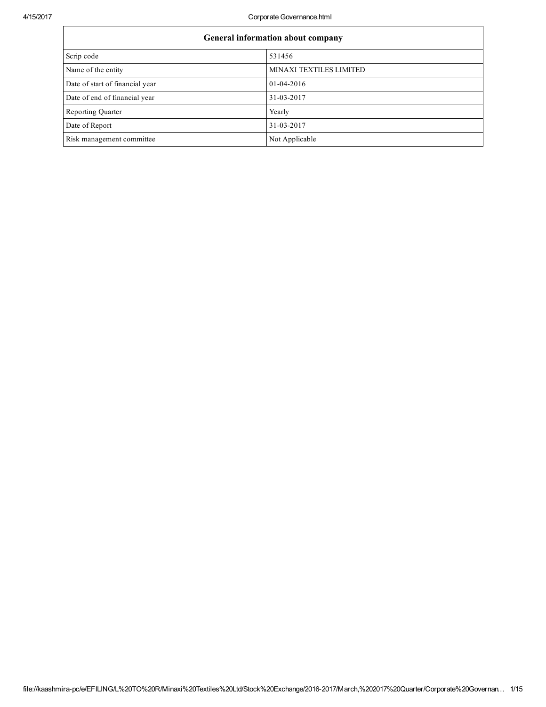4/15/2017 Corporate Governance.html

| General information about company |                         |  |  |  |  |
|-----------------------------------|-------------------------|--|--|--|--|
| Scrip code                        | 531456                  |  |  |  |  |
| Name of the entity                | MINAXI TEXTILES LIMITED |  |  |  |  |
| Date of start of financial year   | 01-04-2016              |  |  |  |  |
| Date of end of financial year     | 31-03-2017              |  |  |  |  |
| <b>Reporting Quarter</b>          | Yearly                  |  |  |  |  |
| Date of Report                    | 31-03-2017              |  |  |  |  |
| Risk management committee         | Not Applicable          |  |  |  |  |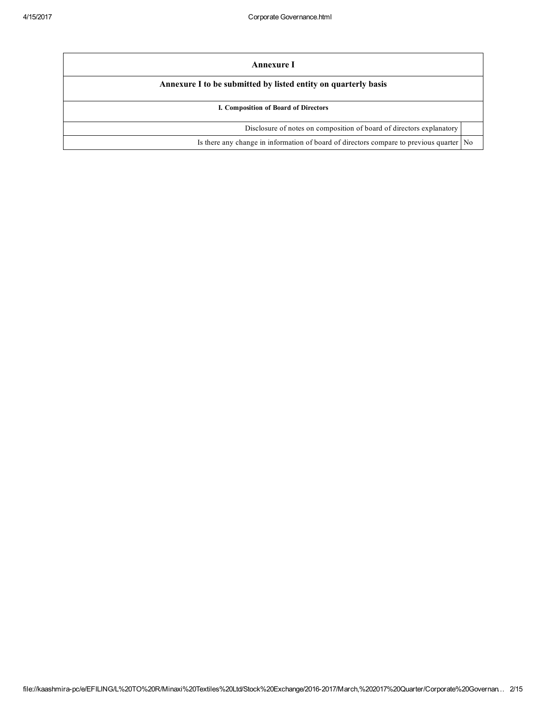| Annexure I                                                                              |  |
|-----------------------------------------------------------------------------------------|--|
| Annexure I to be submitted by listed entity on quarterly basis                          |  |
| I. Composition of Board of Directors                                                    |  |
| Disclosure of notes on composition of board of directors explanatory                    |  |
| Is there any change in information of board of directors compare to previous quarter No |  |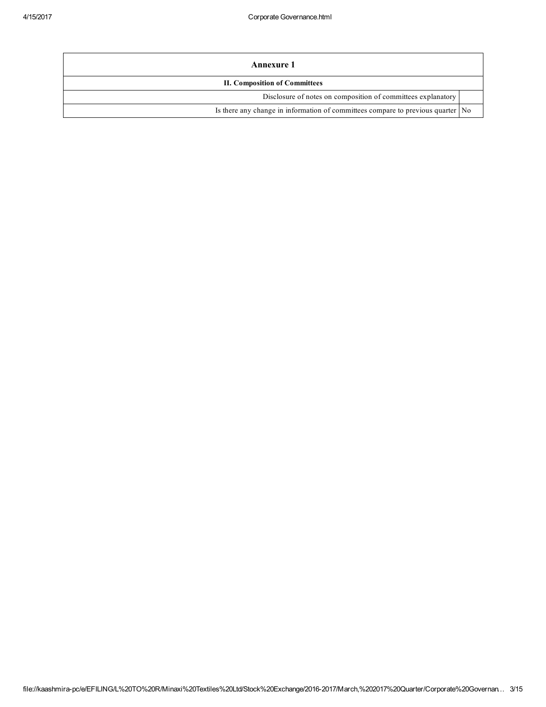| <b>Annexure 1</b>                                                               |  |  |  |
|---------------------------------------------------------------------------------|--|--|--|
| <b>II. Composition of Committees</b>                                            |  |  |  |
| Disclosure of notes on composition of committees explanatory                    |  |  |  |
| Is there any change in information of committees compare to previous quarter No |  |  |  |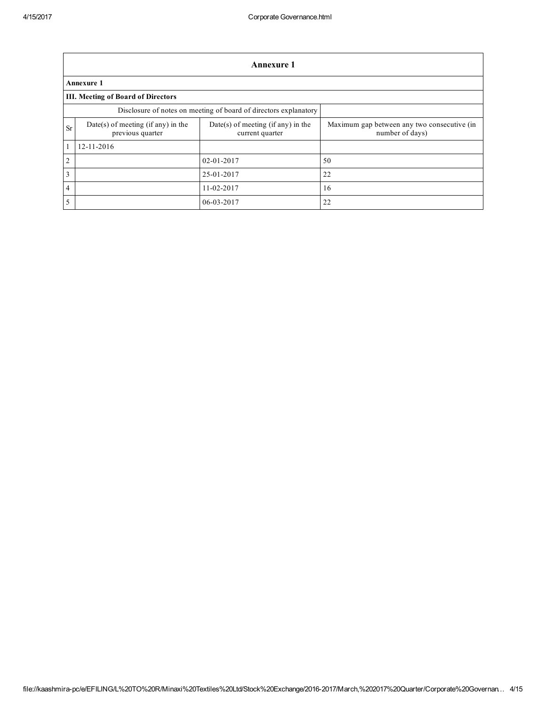|                | <b>Annexure 1</b>                                      |                                                                  |                                                                |  |  |  |  |
|----------------|--------------------------------------------------------|------------------------------------------------------------------|----------------------------------------------------------------|--|--|--|--|
|                | <b>Annexure 1</b>                                      |                                                                  |                                                                |  |  |  |  |
|                | III. Meeting of Board of Directors                     |                                                                  |                                                                |  |  |  |  |
|                |                                                        | Disclosure of notes on meeting of board of directors explanatory |                                                                |  |  |  |  |
| <b>Sr</b>      | Date(s) of meeting (if any) in the<br>previous quarter | $Date(s)$ of meeting (if any) in the<br>current quarter          | Maximum gap between any two consecutive (in<br>number of days) |  |  |  |  |
|                | 12-11-2016                                             |                                                                  |                                                                |  |  |  |  |
| $\overline{2}$ |                                                        | $02 - 01 - 2017$                                                 | 50                                                             |  |  |  |  |
| 3              |                                                        | 25-01-2017                                                       | 22                                                             |  |  |  |  |
| $\overline{4}$ |                                                        | 11-02-2017                                                       | 16                                                             |  |  |  |  |
| 5              |                                                        | 06-03-2017                                                       | 22                                                             |  |  |  |  |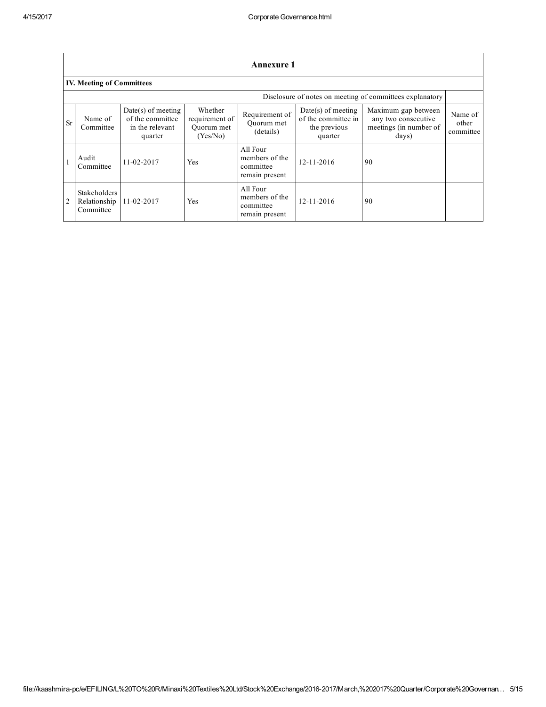|           | <b>Annexure 1</b>                                |                                                                        |                                                     |                                                           |                                                                        |                                                                               |                               |
|-----------|--------------------------------------------------|------------------------------------------------------------------------|-----------------------------------------------------|-----------------------------------------------------------|------------------------------------------------------------------------|-------------------------------------------------------------------------------|-------------------------------|
|           | <b>IV. Meeting of Committees</b>                 |                                                                        |                                                     |                                                           |                                                                        |                                                                               |                               |
|           |                                                  |                                                                        |                                                     |                                                           |                                                                        | Disclosure of notes on meeting of committees explanatory                      |                               |
| <b>Sr</b> | Name of<br>Committee                             | $Date(s)$ of meeting<br>of the committee<br>in the relevant<br>quarter | Whether<br>requirement of<br>Ouorum met<br>(Yes/No) | Requirement of<br>Ouorum met<br>(details)                 | $Date(s)$ of meeting<br>of the committee in<br>the previous<br>quarter | Maximum gap between<br>any two consecutive<br>meetings (in number of<br>days) | Name of<br>other<br>committee |
|           | Audit<br>Committee                               | 11-02-2017                                                             | Yes                                                 | All Four<br>members of the<br>committee<br>remain present | $12 - 11 - 2016$                                                       | 90                                                                            |                               |
|           | <b>Stakeholders</b><br>Relationship<br>Committee | 11-02-2017                                                             | Yes                                                 | All Four<br>members of the<br>committee<br>remain present | $12 - 11 - 2016$                                                       | 90                                                                            |                               |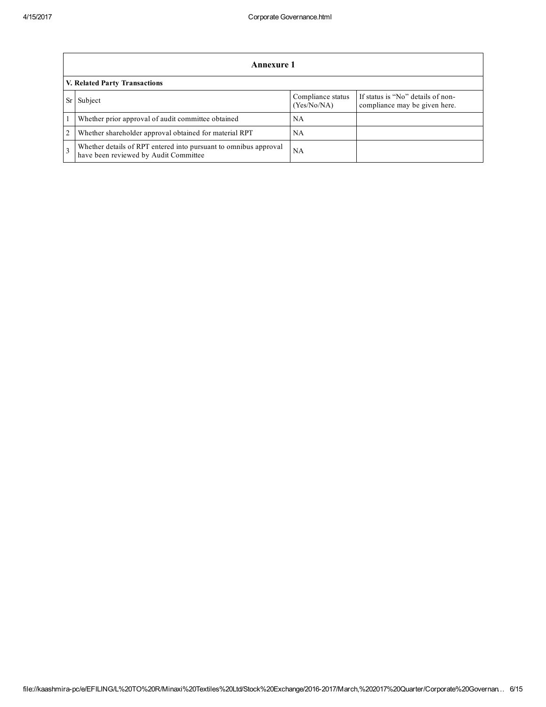|                | Annexure 1                                                                                                |                                  |                                                                    |  |  |  |  |
|----------------|-----------------------------------------------------------------------------------------------------------|----------------------------------|--------------------------------------------------------------------|--|--|--|--|
|                | V. Related Party Transactions                                                                             |                                  |                                                                    |  |  |  |  |
|                | Subject                                                                                                   | Compliance status<br>(Yes/No/NA) | If status is "No" details of non-<br>compliance may be given here. |  |  |  |  |
|                | Whether prior approval of audit committee obtained                                                        | NΑ                               |                                                                    |  |  |  |  |
| $\overline{2}$ | Whether shareholder approval obtained for material RPT                                                    | NA                               |                                                                    |  |  |  |  |
|                | Whether details of RPT entered into pursuant to omnibus approval<br>have been reviewed by Audit Committee | NA                               |                                                                    |  |  |  |  |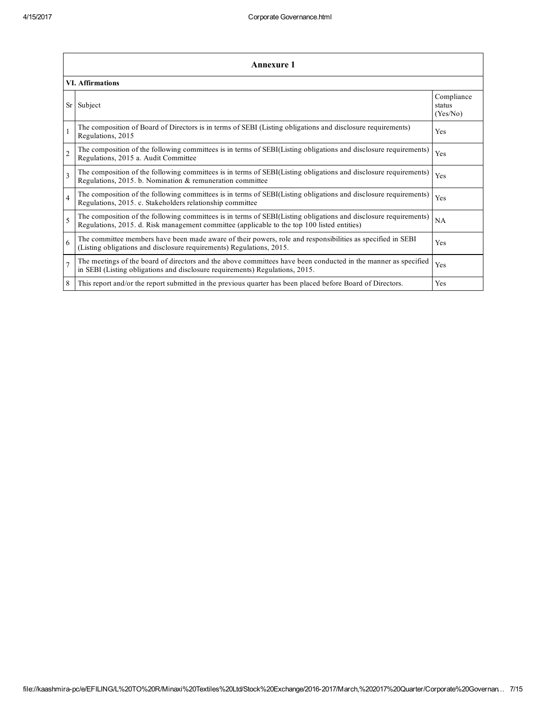|                          | <b>Annexure 1</b>                                                                                                                                                                                               |                                  |  |  |  |
|--------------------------|-----------------------------------------------------------------------------------------------------------------------------------------------------------------------------------------------------------------|----------------------------------|--|--|--|
|                          | <b>VI.</b> Affirmations                                                                                                                                                                                         |                                  |  |  |  |
|                          | Sr Subject                                                                                                                                                                                                      | Compliance<br>status<br>(Yes/No) |  |  |  |
|                          | The composition of Board of Directors is in terms of SEBI (Listing obligations and disclosure requirements)<br>Regulations, 2015                                                                                | <b>Yes</b>                       |  |  |  |
| $\overline{2}$           | The composition of the following committees is in terms of SEBI(Listing obligations and disclosure requirements)<br>Regulations, 2015 a. Audit Committee                                                        | Yes                              |  |  |  |
| $\overline{\mathbf{3}}$  | The composition of the following committees is in terms of SEBI(Listing obligations and disclosure requirements)<br>Regulations, 2015. b. Nomination $\&$ remuneration committee                                | Yes                              |  |  |  |
| $\overline{4}$           | The composition of the following committees is in terms of SEBI(Listing obligations and disclosure requirements)<br>Regulations, 2015. c. Stakeholders relationship committee                                   | Yes                              |  |  |  |
| $\overline{\mathcal{L}}$ | The composition of the following committees is in terms of SEBI(Listing obligations and disclosure requirements)<br>Regulations, 2015. d. Risk management committee (applicable to the top 100 listed entities) | NA                               |  |  |  |
| 6                        | The committee members have been made aware of their powers, role and responsibilities as specified in SEBI<br>(Listing obligations and disclosure requirements) Regulations, 2015.                              | Yes                              |  |  |  |
|                          | The meetings of the board of directors and the above committees have been conducted in the manner as specified<br>in SEBI (Listing obligations and disclosure requirements) Regulations, 2015.                  | Yes                              |  |  |  |
| 8                        | This report and/or the report submitted in the previous quarter has been placed before Board of Directors.                                                                                                      | <b>Yes</b>                       |  |  |  |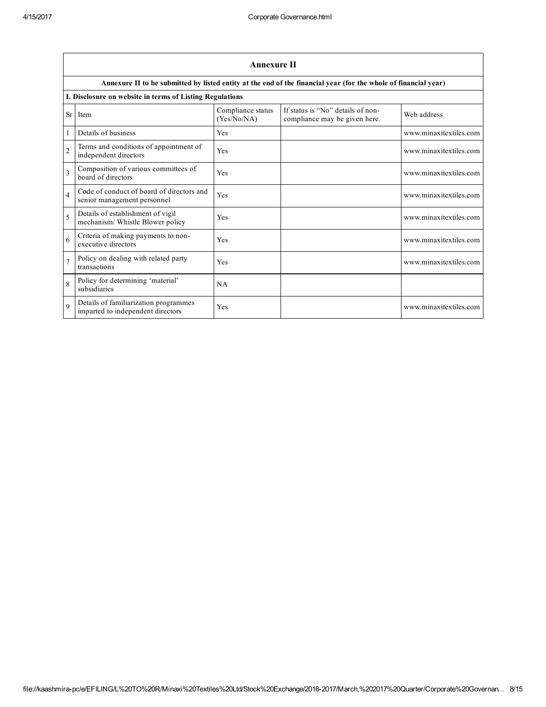|                          | <b>Annexure II</b>                                                         |                                  |                                                                                                                 |                        |  |  |  |
|--------------------------|----------------------------------------------------------------------------|----------------------------------|-----------------------------------------------------------------------------------------------------------------|------------------------|--|--|--|
|                          |                                                                            |                                  | Annexure II to be submitted by listed entity at the end of the financial year (for the whole of financial year) |                        |  |  |  |
|                          | I. Disclosure on website in terms of Listing Regulations                   |                                  |                                                                                                                 |                        |  |  |  |
| <b>Sr</b>                | Item                                                                       | Compliance status<br>(Yes/No/NA) | If status is "No" details of non-<br>compliance may be given here.                                              | Web address            |  |  |  |
| 1                        | Details of business                                                        | Yes                              |                                                                                                                 | www.minaxitextiles.com |  |  |  |
| $\overline{2}$           | Terms and conditions of appointment of<br>independent directors            | Yes                              |                                                                                                                 | www.minaxitextiles.com |  |  |  |
| $\mathbf{3}$             | Composition of various committees of<br>board of directors                 | Yes                              |                                                                                                                 | www.minaxitextiles.com |  |  |  |
| $\overline{\mathcal{L}}$ | Code of conduct of board of directors and<br>senior management personnel   | Yes                              |                                                                                                                 | www.minaxitextiles.com |  |  |  |
| $\overline{\phantom{0}}$ | Details of establishment of vigil<br>mechanism/Whistle Blower policy       | Yes                              |                                                                                                                 | www.minaxitextiles.com |  |  |  |
| 6                        | Criteria of making payments to non-<br>executive directors                 | Yes                              |                                                                                                                 | www.minaxitextiles.com |  |  |  |
| $\overline{7}$           | Policy on dealing with related party<br>transactions                       | Yes                              |                                                                                                                 | www.minaxitextiles.com |  |  |  |
| 8                        | Policy for determining 'material'<br>subsidiaries                          | NA                               |                                                                                                                 |                        |  |  |  |
| $\mathbf Q$              | Details of familiarization programmes<br>imparted to independent directors | Yes                              |                                                                                                                 | www.minaxitextiles.com |  |  |  |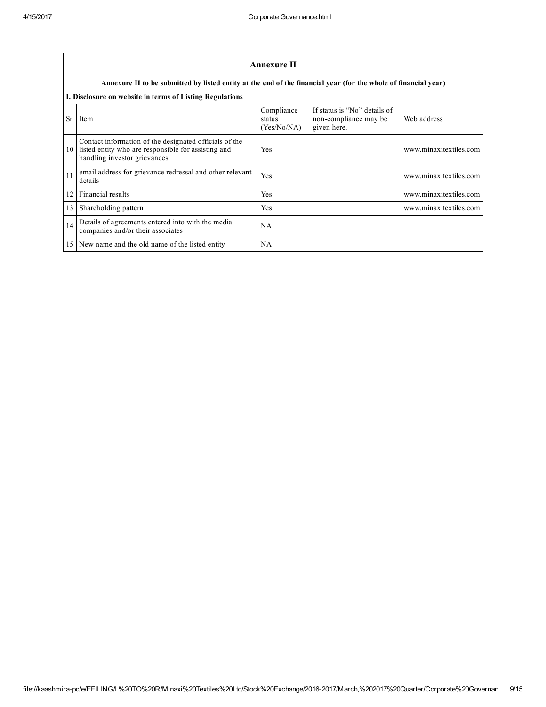|           |                                                                                                                                               | <b>Annexure II</b>                  |                                                                      |                        |
|-----------|-----------------------------------------------------------------------------------------------------------------------------------------------|-------------------------------------|----------------------------------------------------------------------|------------------------|
|           | Annexure II to be submitted by listed entity at the end of the financial year (for the whole of financial year)                               |                                     |                                                                      |                        |
|           | I. Disclosure on website in terms of Listing Regulations                                                                                      |                                     |                                                                      |                        |
| <b>Sr</b> | Item                                                                                                                                          | Compliance<br>status<br>(Yes/No/NA) | If status is "No" details of<br>non-compliance may be<br>given here. | Web address            |
| 10        | Contact information of the designated officials of the<br>listed entity who are responsible for assisting and<br>handling investor grievances | Yes                                 |                                                                      | www.minaxitextiles.com |
| 11        | email address for grievance redressal and other relevant<br>details                                                                           | Yes                                 |                                                                      | www.minaxitextiles.com |
| 12        | Financial results                                                                                                                             | Yes                                 |                                                                      | www.minaxitextiles.com |
| 13        | Shareholding pattern                                                                                                                          | Yes                                 |                                                                      | www.minaxitextiles.com |
| 14        | Details of agreements entered into with the media<br>companies and/or their associates                                                        | NA                                  |                                                                      |                        |
| 15        | New name and the old name of the listed entity                                                                                                | NA                                  |                                                                      |                        |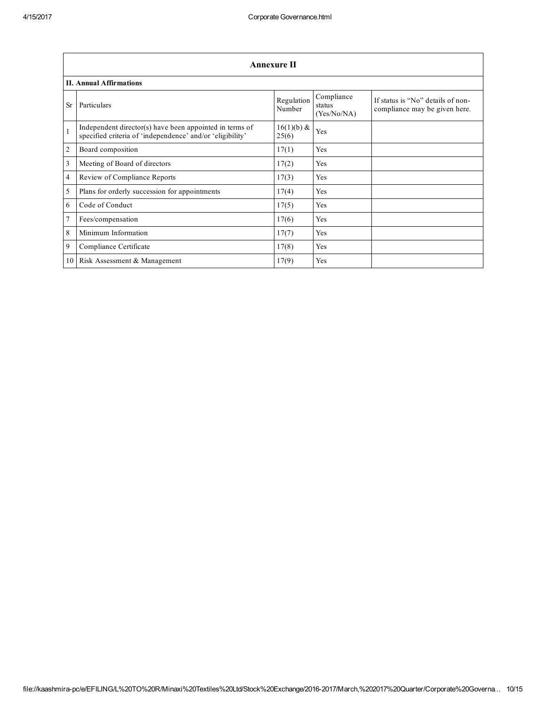|                | <b>Annexure II</b>                                                                                                   |                       |                                     |                                                                    |  |  |
|----------------|----------------------------------------------------------------------------------------------------------------------|-----------------------|-------------------------------------|--------------------------------------------------------------------|--|--|
|                | <b>II. Annual Affirmations</b>                                                                                       |                       |                                     |                                                                    |  |  |
| <b>Sr</b>      | Particulars                                                                                                          | Regulation<br>Number  | Compliance<br>status<br>(Yes/No/NA) | If status is "No" details of non-<br>compliance may be given here. |  |  |
| $\mathbf{1}$   | Independent director(s) have been appointed in terms of<br>specified criteria of 'independence' and/or 'eligibility' | $16(1)(b)$ &<br>25(6) | Yes                                 |                                                                    |  |  |
| $\overline{c}$ | Board composition                                                                                                    | 17(1)                 | Yes                                 |                                                                    |  |  |
| 3              | Meeting of Board of directors                                                                                        | 17(2)                 | Yes                                 |                                                                    |  |  |
| $\overline{4}$ | Review of Compliance Reports                                                                                         | 17(3)                 | Yes                                 |                                                                    |  |  |
| 5              | Plans for orderly succession for appointments                                                                        | 17(4)                 | Yes                                 |                                                                    |  |  |
| 6              | Code of Conduct                                                                                                      | 17(5)                 | Yes                                 |                                                                    |  |  |
| $\overline{7}$ | Fees/compensation                                                                                                    | 17(6)                 | Yes                                 |                                                                    |  |  |
| 8              | Minimum Information                                                                                                  | 17(7)                 | Yes                                 |                                                                    |  |  |
| 9              | Compliance Certificate                                                                                               | 17(8)                 | Yes                                 |                                                                    |  |  |
| 10             | Risk Assessment & Management                                                                                         | 17(9)                 | Yes                                 |                                                                    |  |  |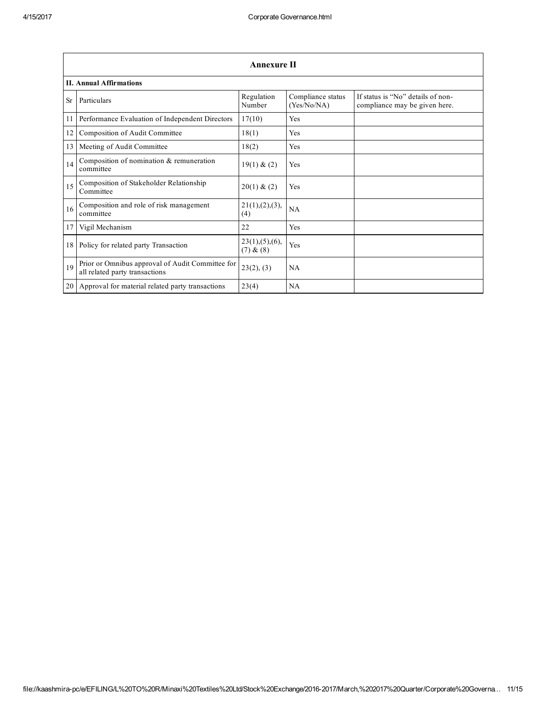|           | Annexure II                                                                        |                               |                                  |                                                                    |  |  |
|-----------|------------------------------------------------------------------------------------|-------------------------------|----------------------------------|--------------------------------------------------------------------|--|--|
|           | <b>II. Annual Affirmations</b>                                                     |                               |                                  |                                                                    |  |  |
| <b>Sr</b> | Particulars                                                                        | Regulation<br>Number          | Compliance status<br>(Yes/No/NA) | If status is "No" details of non-<br>compliance may be given here. |  |  |
| 11        | Performance Evaluation of Independent Directors                                    | 17(10)                        | Yes                              |                                                                    |  |  |
| 12        | Composition of Audit Committee                                                     | 18(1)                         | Yes                              |                                                                    |  |  |
| 13        | Meeting of Audit Committee                                                         | 18(2)                         | Yes                              |                                                                    |  |  |
| 14        | Composition of nomination & remuneration<br>committee                              | 19(1) & (2)                   | Yes                              |                                                                    |  |  |
| 15        | Composition of Stakeholder Relationship<br>Committee                               | 20(1) & (2)                   | Yes                              |                                                                    |  |  |
| 16        | Composition and role of risk management<br>committee                               | 21(1), (2), (3),<br>(4)       | <b>NA</b>                        |                                                                    |  |  |
| 17        | Vigil Mechanism                                                                    | 22                            | Yes                              |                                                                    |  |  |
| 18        | Policy for related party Transaction                                               | 23(1), (5), (6),<br>(7) & (8) | Yes                              |                                                                    |  |  |
| 19        | Prior or Omnibus approval of Audit Committee for<br>all related party transactions | 23(2), (3)                    | <b>NA</b>                        |                                                                    |  |  |
| 20        | Approval for material related party transactions                                   | 23(4)                         | NA                               |                                                                    |  |  |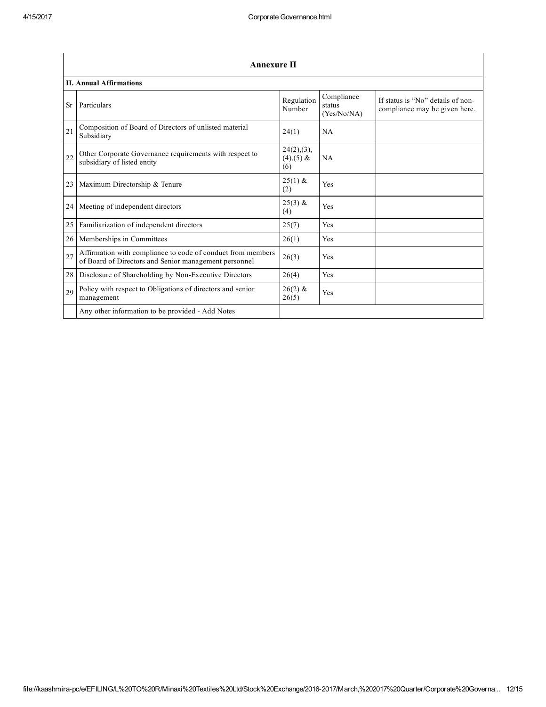|           | <b>Annexure II</b>                                                                                                   |                                       |                                     |                                                                    |  |  |
|-----------|----------------------------------------------------------------------------------------------------------------------|---------------------------------------|-------------------------------------|--------------------------------------------------------------------|--|--|
|           | <b>II. Annual Affirmations</b>                                                                                       |                                       |                                     |                                                                    |  |  |
| <b>Sr</b> | Particulars                                                                                                          | Regulation<br>Number                  | Compliance<br>status<br>(Yes/No/NA) | If status is "No" details of non-<br>compliance may be given here. |  |  |
| 21        | Composition of Board of Directors of unlisted material<br>Subsidiary                                                 | 24(1)                                 | NA                                  |                                                                    |  |  |
| 22        | Other Corporate Governance requirements with respect to<br>subsidiary of listed entity                               | 24(2), (3),<br>$(4)$ , $(5)$ &<br>(6) | <b>NA</b>                           |                                                                    |  |  |
| 23        | Maximum Directorship & Tenure                                                                                        | $25(1)$ &<br>(2)                      | Yes                                 |                                                                    |  |  |
| 24        | Meeting of independent directors                                                                                     | $25(3)$ &<br>(4)                      | Yes                                 |                                                                    |  |  |
| 25        | Familiarization of independent directors                                                                             | 25(7)                                 | Yes                                 |                                                                    |  |  |
| 26        | Memberships in Committees                                                                                            | 26(1)                                 | Yes                                 |                                                                    |  |  |
| 27        | Affirmation with compliance to code of conduct from members<br>of Board of Directors and Senior management personnel | 26(3)                                 | Yes                                 |                                                                    |  |  |
| 28        | Disclosure of Shareholding by Non-Executive Directors                                                                | 26(4)                                 | Yes                                 |                                                                    |  |  |
| 29        | Policy with respect to Obligations of directors and senior<br>management                                             | $26(2)$ &<br>26(5)                    | Yes                                 |                                                                    |  |  |
|           | Any other information to be provided - Add Notes                                                                     |                                       |                                     |                                                                    |  |  |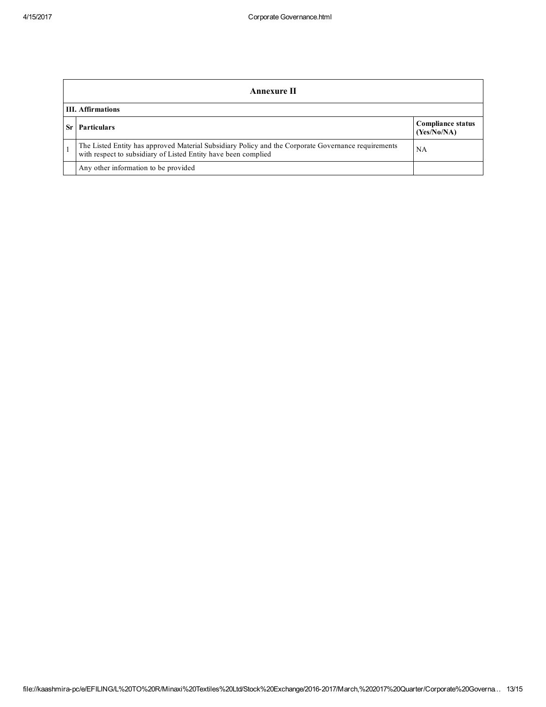| Annexure II              |                                                                                                                                                                       |                                         |  |
|--------------------------|-----------------------------------------------------------------------------------------------------------------------------------------------------------------------|-----------------------------------------|--|
| <b>III.</b> Affirmations |                                                                                                                                                                       |                                         |  |
| Sr                       | <b>Particulars</b>                                                                                                                                                    | <b>Compliance status</b><br>(Yes/No/NA) |  |
|                          | The Listed Entity has approved Material Subsidiary Policy and the Corporate Governance requirements<br>with respect to subsidiary of Listed Entity have been complied | NA.                                     |  |
|                          | Any other information to be provided                                                                                                                                  |                                         |  |